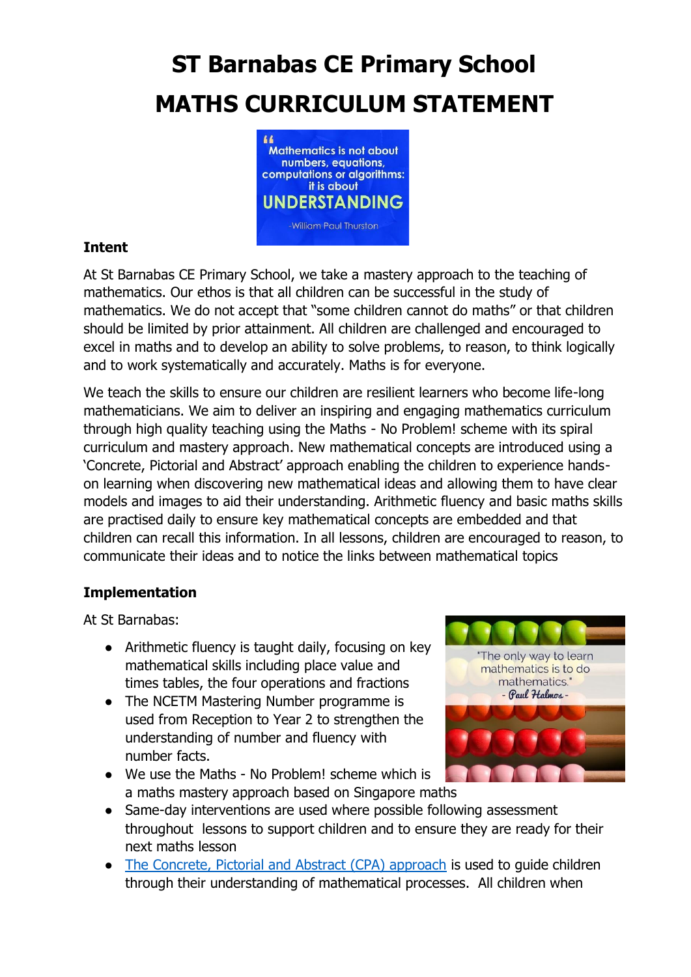## **ST Barnabas CE Primary School MATHS CURRICULUM STATEMENT**



## **Intent**

At St Barnabas CE Primary School, we take a mastery approach to the teaching of mathematics. Our ethos is that all children can be successful in the study of mathematics. We do not accept that "some children cannot do maths" or that children should be limited by prior attainment. All children are challenged and encouraged to excel in maths and to develop an ability to solve problems, to reason, to think logically and to work systematically and accurately. Maths is for everyone.

We teach the skills to ensure our children are resilient learners who become life-long mathematicians. We aim to deliver an inspiring and engaging mathematics curriculum through high quality teaching using the Maths - No Problem! scheme with its spiral curriculum and mastery approach. New mathematical concepts are introduced using a 'Concrete, Pictorial and Abstract' approach enabling the children to experience handson learning when discovering new mathematical ideas and allowing them to have clear models and images to aid their understanding. Arithmetic fluency and basic maths skills are practised daily to ensure key mathematical concepts are embedded and that children can recall this information. In all lessons, children are encouraged to reason, to communicate their ideas and to notice the links between mathematical topics

## **Implementation**

At St Barnabas:

- Arithmetic fluency is taught daily, focusing on key mathematical skills including place value and times tables, the four operations and fractions
- The NCETM Mastering Number programme is used from Reception to Year 2 to strengthen the understanding of number and fluency with number facts.
- We use the Maths No Problem! scheme which is a maths mastery approach based on Singapore maths



- Same-day interventions are used where possible following assessment throughout lessons to support children and to ensure they are ready for their next maths lesson
- [The Concrete, Pictorial and Abstract \(CPA\) approach](https://mathsnoproblem.com/en/approach/concrete-pictorial-abstract/) is used to guide children through their understanding of mathematical processes. All children when